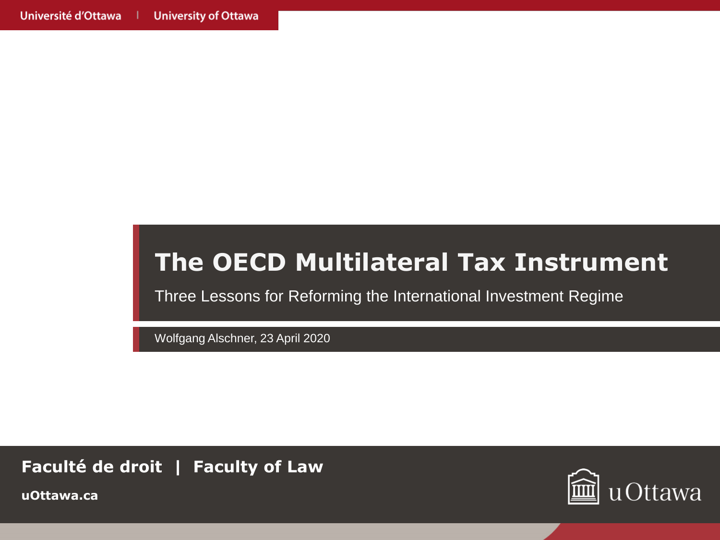### **The OECD Multilateral Tax Instrument**

Three Lessons for Reforming the International Investment Regime

Wolfgang Alschner, 23 April 2020

**Faculté de droit | Faculty of Law**



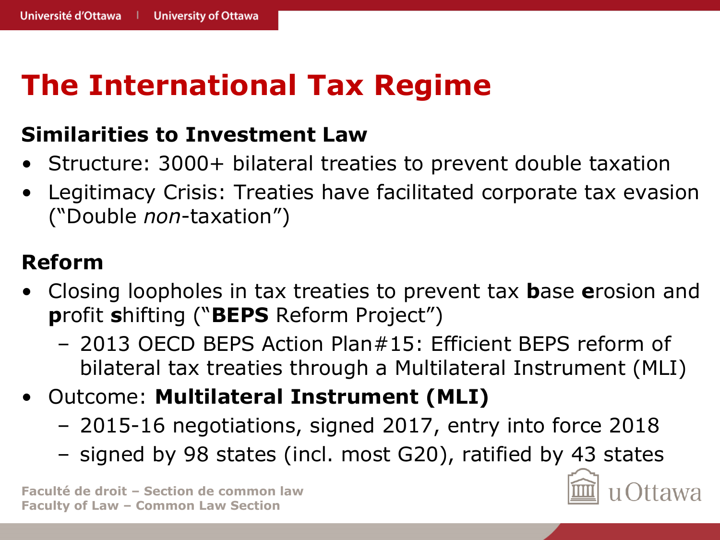## **The International Tax Regime**

#### **Similarities to Investment Law**

- Structure: 3000+ bilateral treaties to prevent double taxation
- Legitimacy Crisis: Treaties have facilitated corporate tax evasion ("Double *non*-taxation")

#### **Reform**

- Closing loopholes in tax treaties to prevent tax **b**ase **e**rosion and **p**rofit **s**hifting ("**BEPS** Reform Project")
	- 2013 OECD BEPS Action Plan#15: Efficient BEPS reform of bilateral tax treaties through a Multilateral Instrument (MLI)
- Outcome: **Multilateral Instrument (MLI)**
	- 2015-16 negotiations, signed 2017, entry into force 2018
	- signed by 98 states (incl. most G20), ratified by 43 states

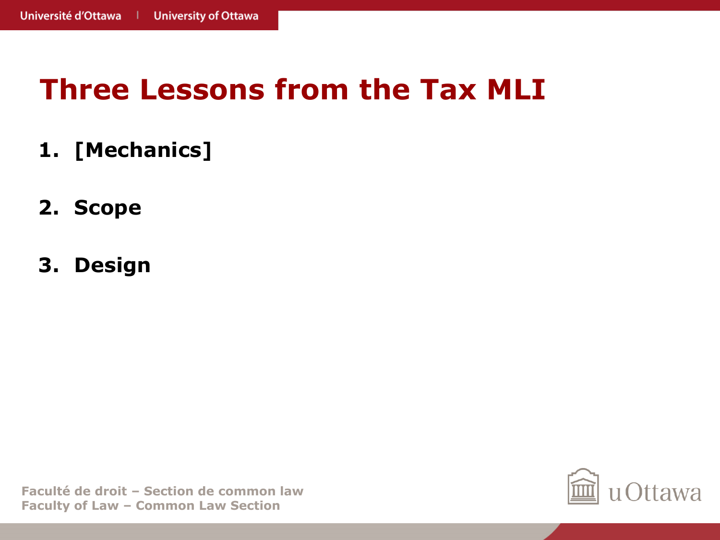- **1. [Mechanics]**
- **2. Scope**
- **3. Design**

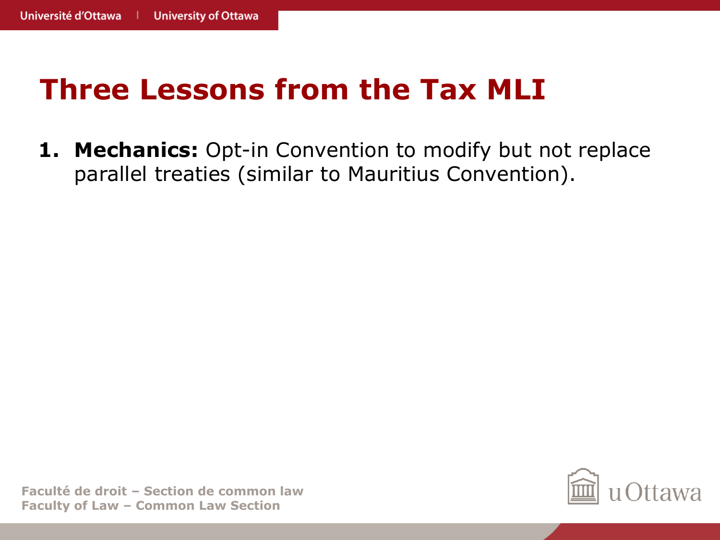**1. Mechanics:** Opt-in Convention to modify but not replace parallel treaties (similar to Mauritius Convention).

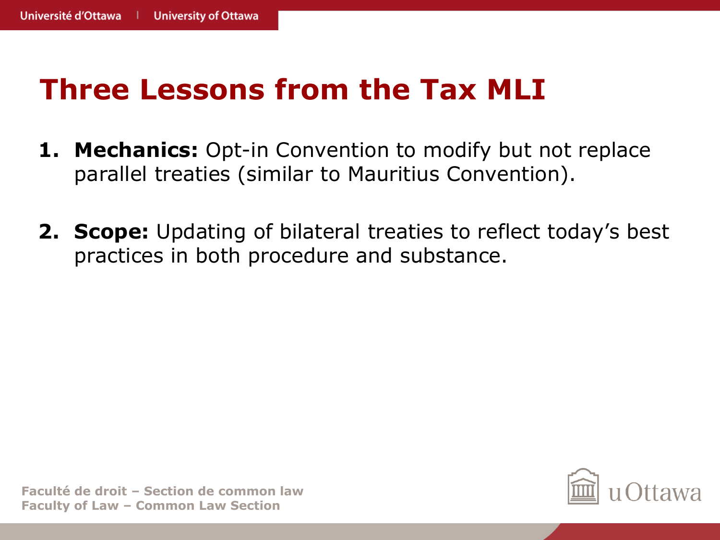- **1. Mechanics:** Opt-in Convention to modify but not replace parallel treaties (similar to Mauritius Convention).
- **2. Scope:** Updating of bilateral treaties to reflect today's best practices in both procedure and substance.

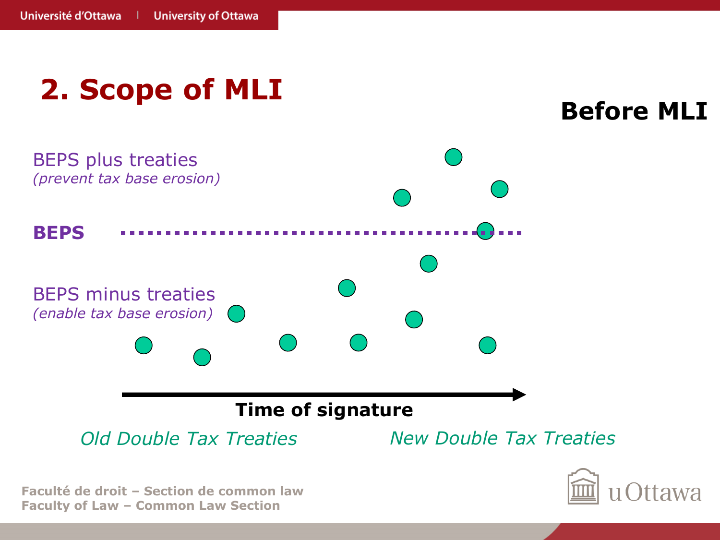

**Faculty of Law – Common Law Section**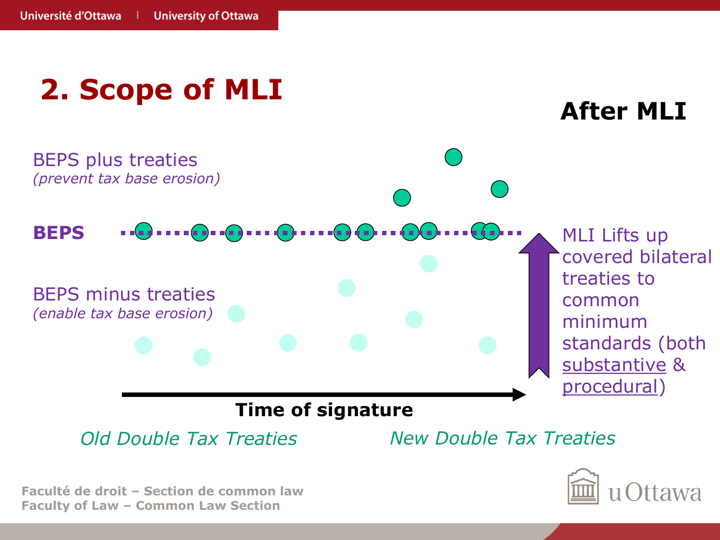

**Faculty of Law – Common Law Section**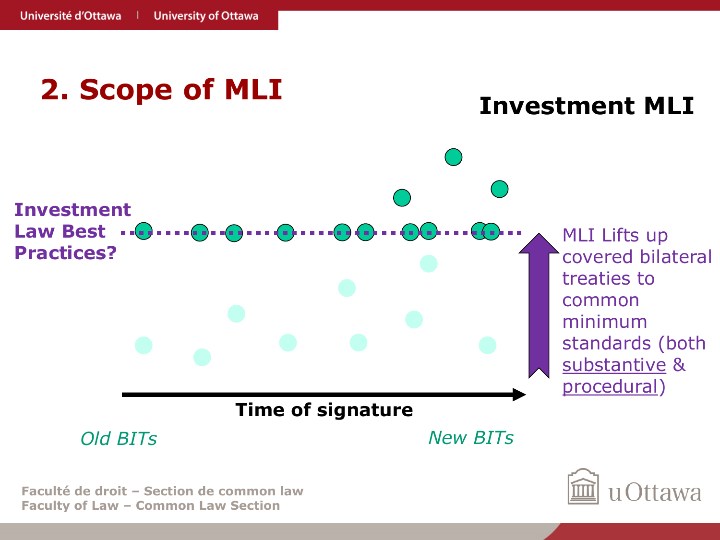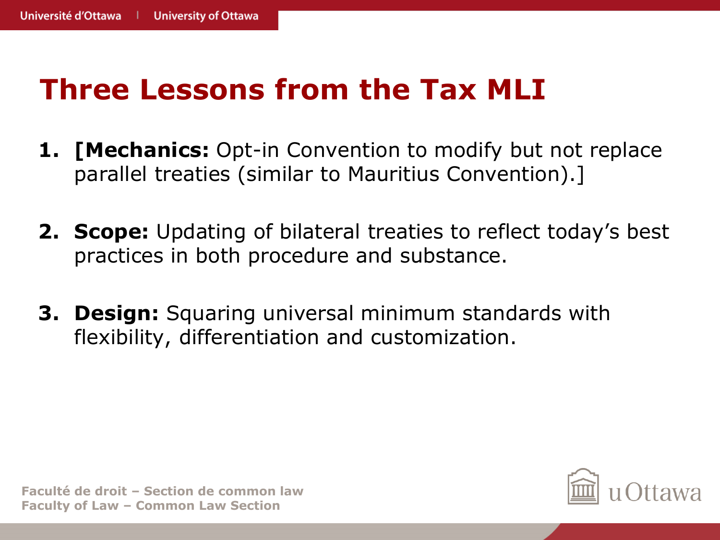- **1. [Mechanics:** Opt-in Convention to modify but not replace parallel treaties (similar to Mauritius Convention).]
- **2. Scope:** Updating of bilateral treaties to reflect today's best practices in both procedure and substance.
- **3. Design:** Squaring universal minimum standards with flexibility, differentiation and customization.

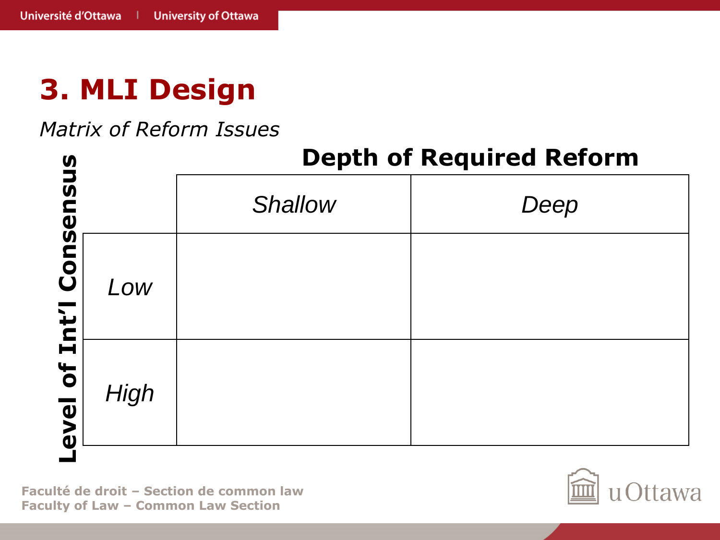#### *Matrix of Reform Issues*



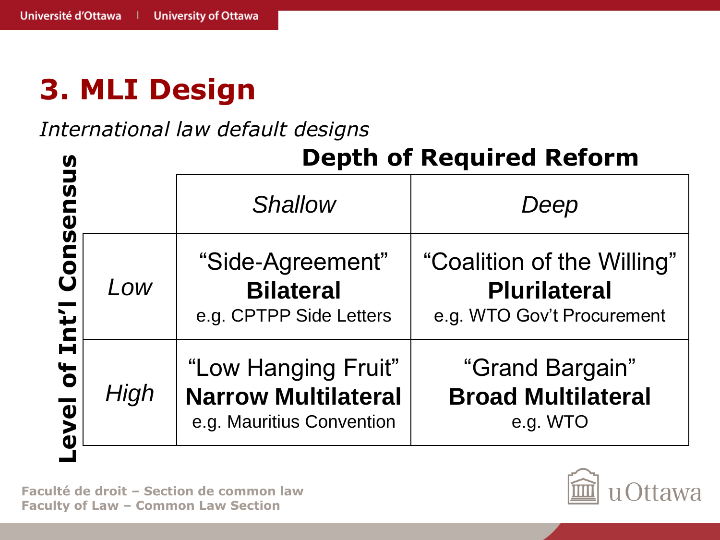*International law default designs*

| <b>9</b><br>J                                      |      |                                                                                | <b>Depth of Required Reform</b>                                                 |
|----------------------------------------------------|------|--------------------------------------------------------------------------------|---------------------------------------------------------------------------------|
| $\boldsymbol{\mathsf{S}}$<br>$\boldsymbol{\omega}$ |      | <b>Shallow</b>                                                                 | Deep                                                                            |
| Cons<br>Int'l                                      | Low  | "Side-Agreement"<br><b>Bilateral</b><br>e.g. CPTPP Side Letters                | "Coalition of the Willing"<br><b>Plurilateral</b><br>e.g. WTO Gov't Procurement |
| $\overline{\mathbf{b}}$<br>evel                    | High | "Low Hanging Fruit"<br><b>Narrow Multilateral</b><br>e.g. Mauritius Convention | "Grand Bargain"<br><b>Broad Multilateral</b><br>e.g. WTO                        |

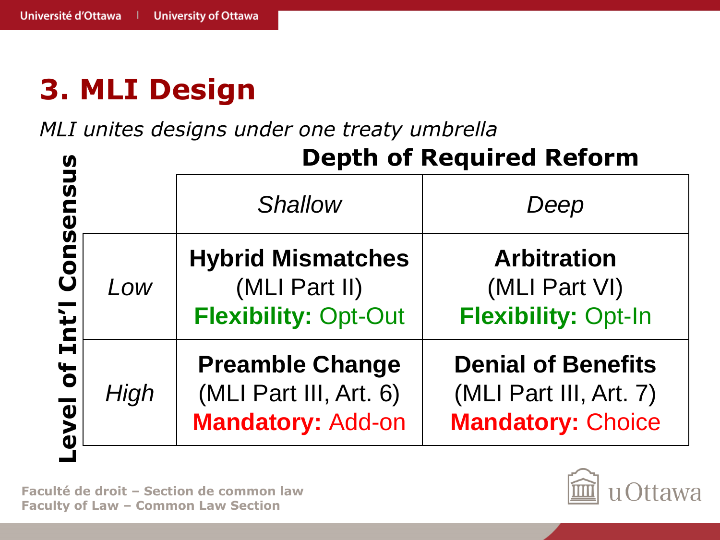*MLI unites designs under one treaty umbrella*

|      | <b>Depth of Required Reform</b>                                          |                                                                                 |  |
|------|--------------------------------------------------------------------------|---------------------------------------------------------------------------------|--|
|      | <b>Shallow</b>                                                           | Deep                                                                            |  |
| Low  | <b>Hybrid Mismatches</b><br>(MLI Part II)<br><b>Flexibility: Opt-Out</b> | <b>Arbitration</b><br>(MLI Part VI)<br><b>Flexibility: Opt-In</b>               |  |
| High | <b>Preamble Change</b><br>(MLI Part III, Art. 6)<br>Mandatory: Add-on    | <b>Denial of Benefits</b><br>(MLI Part III, Art. 7)<br><b>Mandatory: Choice</b> |  |

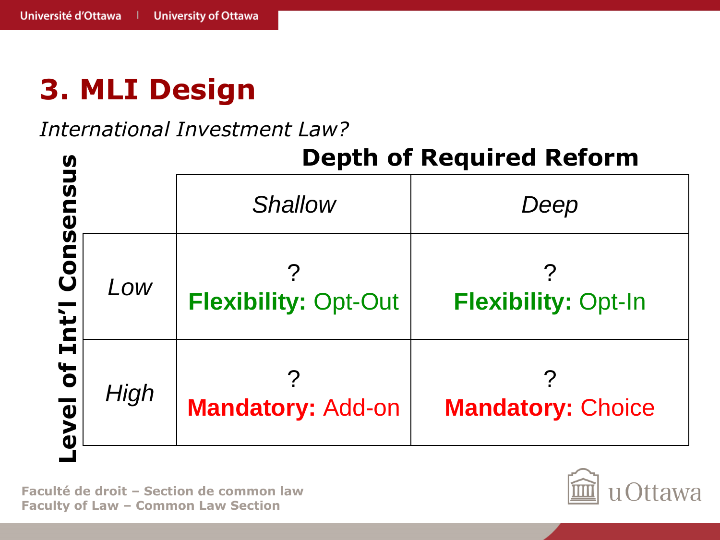#### *International Investment Law?*